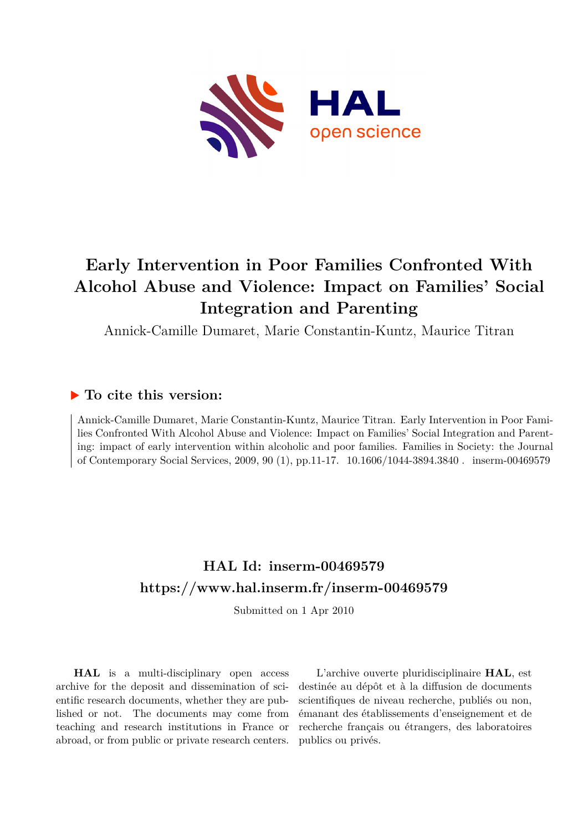

# **Early Intervention in Poor Families Confronted With Alcohol Abuse and Violence: Impact on Families' Social Integration and Parenting**

Annick-Camille Dumaret, Marie Constantin-Kuntz, Maurice Titran

## **To cite this version:**

Annick-Camille Dumaret, Marie Constantin-Kuntz, Maurice Titran. Early Intervention in Poor Families Confronted With Alcohol Abuse and Violence: Impact on Families' Social Integration and Parenting: impact of early intervention within alcoholic and poor families. Families in Society: the Journal of Contemporary Social Services, 2009, 90 (1), pp.11-17. 10.1606/1044-3894.3840. inserm-00469579

## **HAL Id: inserm-00469579 <https://www.hal.inserm.fr/inserm-00469579>**

Submitted on 1 Apr 2010

**HAL** is a multi-disciplinary open access archive for the deposit and dissemination of scientific research documents, whether they are published or not. The documents may come from teaching and research institutions in France or abroad, or from public or private research centers.

L'archive ouverte pluridisciplinaire **HAL**, est destinée au dépôt et à la diffusion de documents scientifiques de niveau recherche, publiés ou non, émanant des établissements d'enseignement et de recherche français ou étrangers, des laboratoires publics ou privés.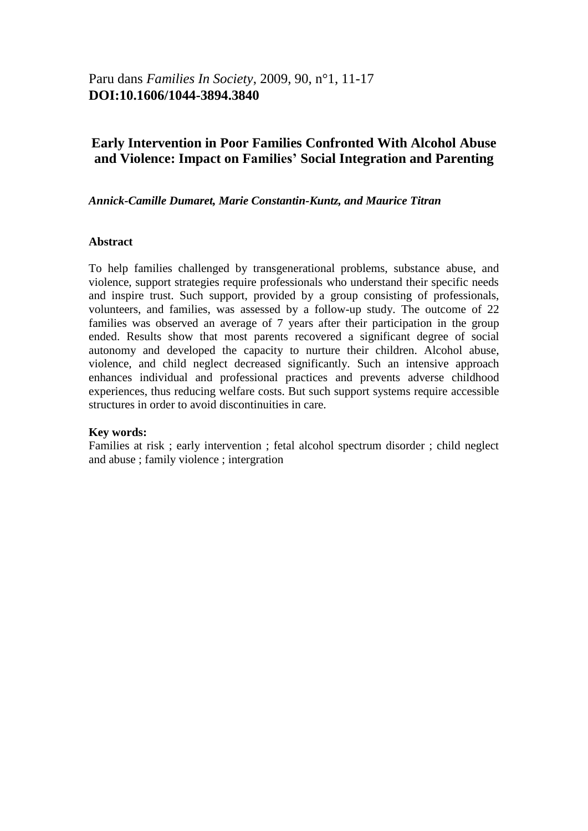### Paru dans *Families In Society*, 2009, 90, n°1, 11-17 **DOI:10.1606/1044-3894.3840**

## **Early Intervention in Poor Families Confronted With Alcohol Abuse and Violence: Impact on Families' Social Integration and Parenting**

#### *Annick-Camille Dumaret, Marie Constantin-Kuntz, and Maurice Titran*

#### **Abstract**

To help families challenged by transgenerational problems, substance abuse, and violence, support strategies require professionals who understand their specific needs and inspire trust. Such support, provided by a group consisting of professionals, volunteers, and families, was assessed by a follow-up study. The outcome of 22 families was observed an average of 7 years after their participation in the group ended. Results show that most parents recovered a significant degree of social autonomy and developed the capacity to nurture their children. Alcohol abuse, violence, and child neglect decreased significantly. Such an intensive approach enhances individual and professional practices and prevents adverse childhood experiences, thus reducing welfare costs. But such support systems require accessible structures in order to avoid discontinuities in care.

#### **Key words:**

Families at risk ; early intervention ; fetal alcohol spectrum disorder ; child neglect and abuse ; family violence ; intergration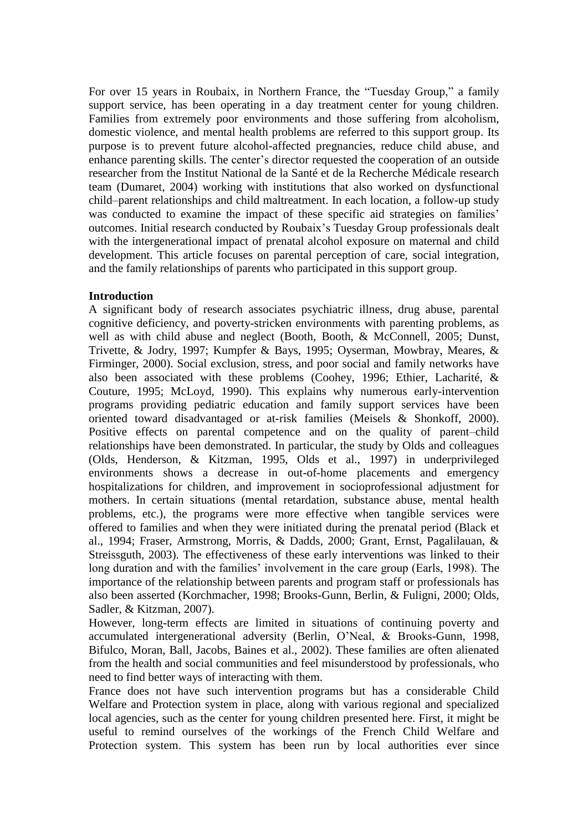For over 15 years in Roubaix, in Northern France, the "Tuesday Group," a family support service, has been operating in a day treatment center for young children. Families from extremely poor environments and those suffering from alcoholism, domestic violence, and mental health problems are referred to this support group. Its purpose is to prevent future alcohol-affected pregnancies, reduce child abuse, and enhance parenting skills. The center's director requested the cooperation of an outside researcher from the Institut National de la Santé et de la Recherche Médicale research team (Dumaret, 2004) working with institutions that also worked on dysfunctional child–parent relationships and child maltreatment. In each location, a follow-up study was conducted to examine the impact of these specific aid strategies on families' outcomes. Initial research conducted by Roubaix's Tuesday Group professionals dealt with the intergenerational impact of prenatal alcohol exposure on maternal and child development. This article focuses on parental perception of care, social integration, and the family relationships of parents who participated in this support group.

#### **Introduction**

A significant body of research associates psychiatric illness, drug abuse, parental cognitive deficiency, and poverty-stricken environments with parenting problems, as well as with child abuse and neglect (Booth, Booth, & McConnell, 2005; Dunst, Trivette, & Jodry, 1997; Kumpfer & Bays, 1995; Oyserman, Mowbray, Meares, & Firminger, 2000). Social exclusion, stress, and poor social and family networks have also been associated with these problems (Coohey, 1996; Ethier, Lacharité, & Couture, 1995; McLoyd, 1990). This explains why numerous early-intervention programs providing pediatric education and family support services have been oriented toward disadvantaged or at-risk families (Meisels & Shonkoff, 2000). Positive effects on parental competence and on the quality of parent–child relationships have been demonstrated. In particular, the study by Olds and colleagues (Olds, Henderson, & Kitzman, 1995, Olds et al., 1997) in underprivileged environments shows a decrease in out-of-home placements and emergency hospitalizations for children, and improvement in socioprofessional adjustment for mothers. In certain situations (mental retardation, substance abuse, mental health problems, etc.), the programs were more effective when tangible services were offered to families and when they were initiated during the prenatal period (Black et al., 1994; Fraser, Armstrong, Morris, & Dadds, 2000; Grant, Ernst, Pagalilauan, & Streissguth, 2003). The effectiveness of these early interventions was linked to their long duration and with the families' involvement in the care group (Earls, 1998). The importance of the relationship between parents and program staff or professionals has also been asserted (Korchmacher, 1998; Brooks-Gunn, Berlin, & Fuligni, 2000; Olds, Sadler, & Kitzman, 2007).

However, long-term effects are limited in situations of continuing poverty and accumulated intergenerational adversity (Berlin, O'Neal, & Brooks-Gunn, 1998, Bifulco, Moran, Ball, Jacobs, Baines et al., 2002). These families are often alienated from the health and social communities and feel misunderstood by professionals, who need to find better ways of interacting with them.

France does not have such intervention programs but has a considerable Child Welfare and Protection system in place, along with various regional and specialized local agencies, such as the center for young children presented here. First, it might be useful to remind ourselves of the workings of the French Child Welfare and Protection system. This system has been run by local authorities ever since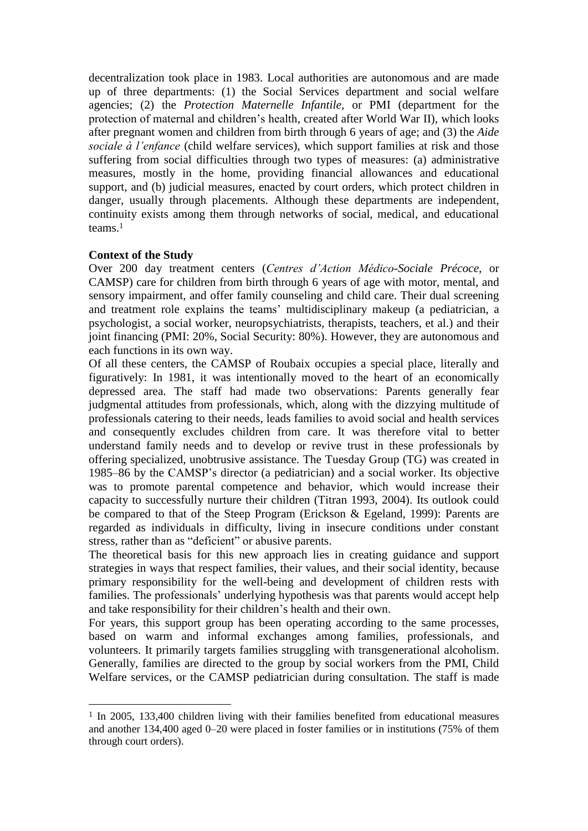decentralization took place in 1983. Local authorities are autonomous and are made up of three departments: (1) the Social Services department and social welfare agencies; (2) the *Protection Maternelle Infantile,* or PMI (department for the protection of maternal and children's health, created after World War II), which looks after pregnant women and children from birth through 6 years of age; and (3) the *Aide sociale à l'enfance* (child welfare services), which support families at risk and those suffering from social difficulties through two types of measures: (a) administrative measures, mostly in the home, providing financial allowances and educational support, and (b) judicial measures, enacted by court orders, which protect children in danger, usually through placements. Although these departments are independent, continuity exists among them through networks of social, medical, and educational teams. 1

#### **Context of the Study**

 $\overline{a}$ 

Over 200 day treatment centers (*Centres d'Action Médico-Sociale Précoce,* or CAMSP) care for children from birth through 6 years of age with motor, mental, and sensory impairment, and offer family counseling and child care. Their dual screening and treatment role explains the teams' multidisciplinary makeup (a pediatrician, a psychologist, a social worker, neuropsychiatrists, therapists, teachers, et al.) and their joint financing (PMI: 20%, Social Security: 80%). However, they are autonomous and each functions in its own way.

Of all these centers, the CAMSP of Roubaix occupies a special place, literally and figuratively: In 1981, it was intentionally moved to the heart of an economically depressed area. The staff had made two observations: Parents generally fear judgmental attitudes from professionals, which, along with the dizzying multitude of professionals catering to their needs, leads families to avoid social and health services and consequently excludes children from care. It was therefore vital to better understand family needs and to develop or revive trust in these professionals by offering specialized, unobtrusive assistance. The Tuesday Group (TG) was created in 1985–86 by the CAMSP's director (a pediatrician) and a social worker. Its objective was to promote parental competence and behavior, which would increase their capacity to successfully nurture their children (Titran 1993, 2004). Its outlook could be compared to that of the Steep Program (Erickson & Egeland, 1999): Parents are regarded as individuals in difficulty, living in insecure conditions under constant stress, rather than as "deficient" or abusive parents.

The theoretical basis for this new approach lies in creating guidance and support strategies in ways that respect families, their values, and their social identity, because primary responsibility for the well-being and development of children rests with families. The professionals' underlying hypothesis was that parents would accept help and take responsibility for their children's health and their own.

For years, this support group has been operating according to the same processes, based on warm and informal exchanges among families, professionals, and volunteers. It primarily targets families struggling with transgenerational alcoholism. Generally, families are directed to the group by social workers from the PMI, Child Welfare services, or the CAMSP pediatrician during consultation. The staff is made

<sup>1</sup> In 2005, 133,400 children living with their families benefited from educational measures and another 134,400 aged 0–20 were placed in foster families or in institutions (75% of them through court orders).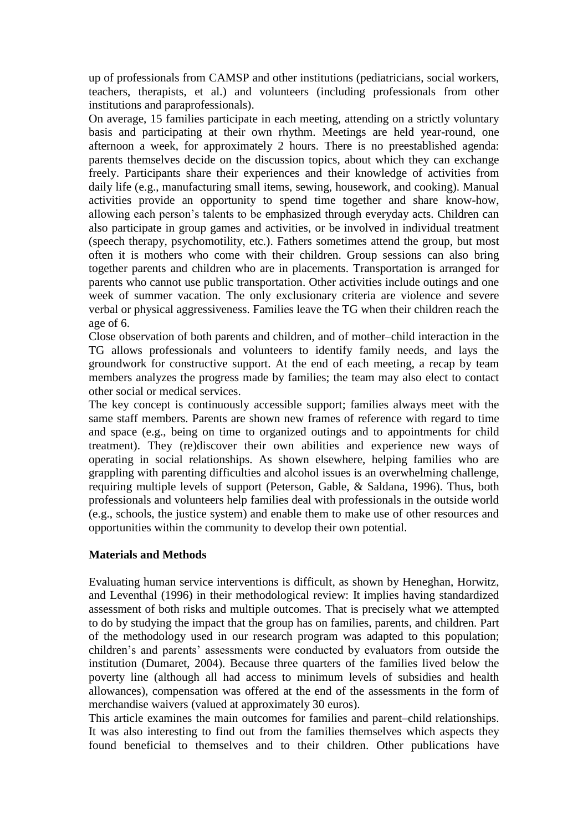up of professionals from CAMSP and other institutions (pediatricians, social workers, teachers, therapists, et al.) and volunteers (including professionals from other institutions and paraprofessionals).

On average, 15 families participate in each meeting, attending on a strictly voluntary basis and participating at their own rhythm. Meetings are held year-round, one afternoon a week, for approximately 2 hours. There is no preestablished agenda: parents themselves decide on the discussion topics, about which they can exchange freely. Participants share their experiences and their knowledge of activities from daily life (e.g., manufacturing small items, sewing, housework, and cooking). Manual activities provide an opportunity to spend time together and share know-how, allowing each person's talents to be emphasized through everyday acts. Children can also participate in group games and activities, or be involved in individual treatment (speech therapy, psychomotility, etc.). Fathers sometimes attend the group, but most often it is mothers who come with their children. Group sessions can also bring together parents and children who are in placements. Transportation is arranged for parents who cannot use public transportation. Other activities include outings and one week of summer vacation. The only exclusionary criteria are violence and severe verbal or physical aggressiveness. Families leave the TG when their children reach the age of 6.

Close observation of both parents and children, and of mother–child interaction in the TG allows professionals and volunteers to identify family needs, and lays the groundwork for constructive support. At the end of each meeting, a recap by team members analyzes the progress made by families; the team may also elect to contact other social or medical services.

The key concept is continuously accessible support; families always meet with the same staff members. Parents are shown new frames of reference with regard to time and space (e.g., being on time to organized outings and to appointments for child treatment). They (re)discover their own abilities and experience new ways of operating in social relationships. As shown elsewhere, helping families who are grappling with parenting difficulties and alcohol issues is an overwhelming challenge, requiring multiple levels of support (Peterson, Gable, & Saldana, 1996). Thus, both professionals and volunteers help families deal with professionals in the outside world (e.g., schools, the justice system) and enable them to make use of other resources and opportunities within the community to develop their own potential.

#### **Materials and Methods**

Evaluating human service interventions is difficult, as shown by Heneghan, Horwitz, and Leventhal (1996) in their methodological review: It implies having standardized assessment of both risks and multiple outcomes. That is precisely what we attempted to do by studying the impact that the group has on families, parents, and children. Part of the methodology used in our research program was adapted to this population; children's and parents' assessments were conducted by evaluators from outside the institution (Dumaret, 2004). Because three quarters of the families lived below the poverty line (although all had access to minimum levels of subsidies and health allowances), compensation was offered at the end of the assessments in the form of merchandise waivers (valued at approximately 30 euros).

This article examines the main outcomes for families and parent–child relationships. It was also interesting to find out from the families themselves which aspects they found beneficial to themselves and to their children. Other publications have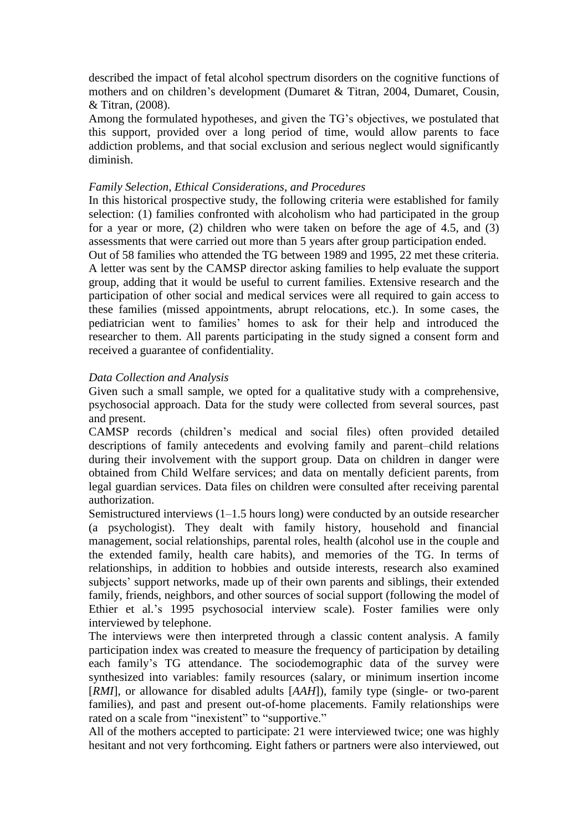described the impact of fetal alcohol spectrum disorders on the cognitive functions of mothers and on children's development (Dumaret & Titran, 2004, Dumaret, Cousin, & Titran, (2008).

Among the formulated hypotheses, and given the TG's objectives, we postulated that this support, provided over a long period of time, would allow parents to face addiction problems, and that social exclusion and serious neglect would significantly diminish.

#### *Family Selection, Ethical Considerations, and Procedures*

In this historical prospective study, the following criteria were established for family selection: (1) families confronted with alcoholism who had participated in the group for a year or more, (2) children who were taken on before the age of 4.5, and (3) assessments that were carried out more than 5 years after group participation ended.

Out of 58 families who attended the TG between 1989 and 1995, 22 met these criteria. A letter was sent by the CAMSP director asking families to help evaluate the support group, adding that it would be useful to current families. Extensive research and the participation of other social and medical services were all required to gain access to these families (missed appointments, abrupt relocations, etc.). In some cases, the pediatrician went to families' homes to ask for their help and introduced the researcher to them. All parents participating in the study signed a consent form and received a guarantee of confidentiality.

#### *Data Collection and Analysis*

Given such a small sample, we opted for a qualitative study with a comprehensive, psychosocial approach. Data for the study were collected from several sources, past and present.

CAMSP records (children's medical and social files) often provided detailed descriptions of family antecedents and evolving family and parent–child relations during their involvement with the support group. Data on children in danger were obtained from Child Welfare services; and data on mentally deficient parents, from legal guardian services. Data files on children were consulted after receiving parental authorization.

Semistructured interviews (1–1.5 hours long) were conducted by an outside researcher (a psychologist). They dealt with family history, household and financial management, social relationships, parental roles, health (alcohol use in the couple and the extended family, health care habits), and memories of the TG. In terms of relationships, in addition to hobbies and outside interests, research also examined subjects' support networks, made up of their own parents and siblings, their extended family, friends, neighbors, and other sources of social support (following the model of Ethier et al.'s 1995 psychosocial interview scale). Foster families were only interviewed by telephone.

The interviews were then interpreted through a classic content analysis. A family participation index was created to measure the frequency of participation by detailing each family's TG attendance. The sociodemographic data of the survey were synthesized into variables: family resources (salary, or minimum insertion income [*RMI*], or allowance for disabled adults [*AAH*]), family type (single- or two-parent families), and past and present out-of-home placements. Family relationships were rated on a scale from "inexistent" to "supportive."

All of the mothers accepted to participate: 21 were interviewed twice; one was highly hesitant and not very forthcoming*.* Eight fathers or partners were also interviewed, out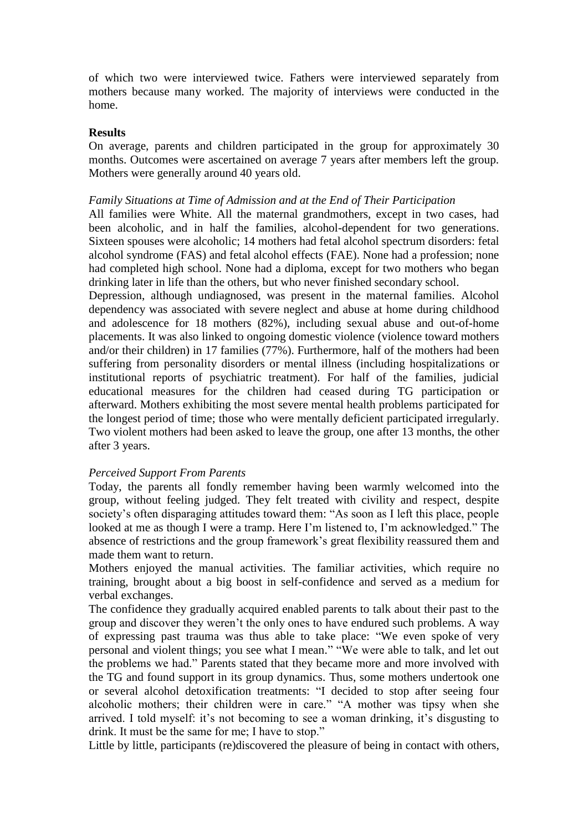of which two were interviewed twice. Fathers were interviewed separately from mothers because many worked*.* The majority of interviews were conducted in the home.

#### **Results**

On average, parents and children participated in the group for approximately 30 months. Outcomes were ascertained on average 7 years after members left the group. Mothers were generally around 40 years old.

#### *Family Situations at Time of Admission and at the End of Their Participation*

All families were White. All the maternal grandmothers, except in two cases, had been alcoholic, and in half the families, alcohol-dependent for two generations. Sixteen spouses were alcoholic; 14 mothers had fetal alcohol spectrum disorders: fetal alcohol syndrome (FAS) and fetal alcohol effects (FAE). None had a profession; none had completed high school. None had a diploma, except for two mothers who began drinking later in life than the others, but who never finished secondary school.

Depression, although undiagnosed, was present in the maternal families. Alcohol dependency was associated with severe neglect and abuse at home during childhood and adolescence for 18 mothers (82%), including sexual abuse and out-of-home placements. It was also linked to ongoing domestic violence (violence toward mothers and/or their children) in 17 families (77%). Furthermore, half of the mothers had been suffering from personality disorders or mental illness (including hospitalizations or institutional reports of psychiatric treatment). For half of the families, judicial educational measures for the children had ceased during TG participation or afterward. Mothers exhibiting the most severe mental health problems participated for the longest period of time; those who were mentally deficient participated irregularly. Two violent mothers had been asked to leave the group, one after 13 months, the other after 3 years.

#### *Perceived Support From Parents*

Today, the parents all fondly remember having been warmly welcomed into the group, without feeling judged. They felt treated with civility and respect, despite society's often disparaging attitudes toward them: "As soon as I left this place, people looked at me as though I were a tramp. Here I'm listened to, I'm acknowledged." The absence of restrictions and the group framework's great flexibility reassured them and made them want to return.

Mothers enjoyed the manual activities. The familiar activities, which require no training, brought about a big boost in self-confidence and served as a medium for verbal exchanges.

The confidence they gradually acquired enabled parents to talk about their past to the group and discover they weren't the only ones to have endured such problems. A way of expressing past trauma was thus able to take place: "We even spoke of very personal and violent things; you see what I mean." "We were able to talk, and let out the problems we had." Parents stated that they became more and more involved with the TG and found support in its group dynamics. Thus, some mothers undertook one or several alcohol detoxification treatments: "I decided to stop after seeing four alcoholic mothers; their children were in care." "A mother was tipsy when she arrived. I told myself: it's not becoming to see a woman drinking, it's disgusting to drink. It must be the same for me; I have to stop."

Little by little, participants (re)discovered the pleasure of being in contact with others,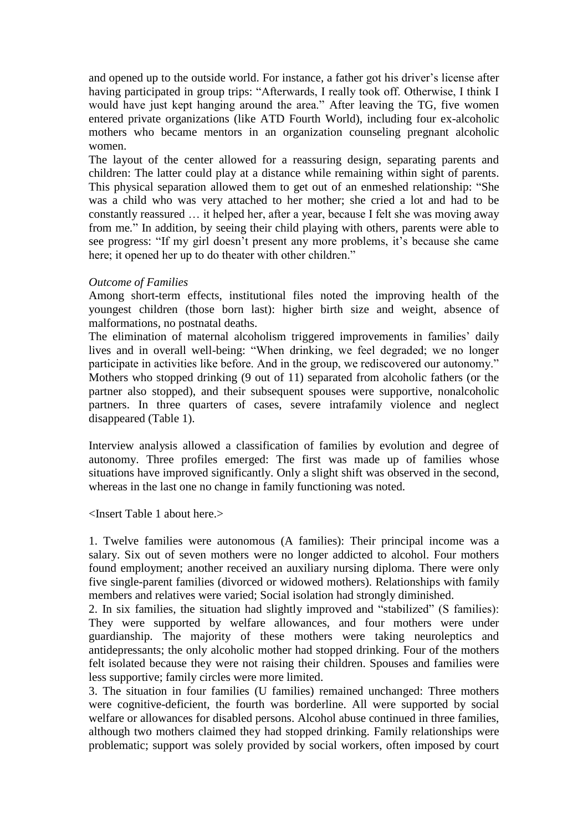and opened up to the outside world. For instance, a father got his driver's license after having participated in group trips: "Afterwards, I really took off. Otherwise, I think I would have just kept hanging around the area." After leaving the TG, five women entered private organizations (like ATD Fourth World), including four ex-alcoholic mothers who became mentors in an organization counseling pregnant alcoholic women.

The layout of the center allowed for a reassuring design, separating parents and children: The latter could play at a distance while remaining within sight of parents. This physical separation allowed them to get out of an enmeshed relationship: "She was a child who was very attached to her mother; she cried a lot and had to be constantly reassured … it helped her, after a year, because I felt she was moving away from me*.*" In addition, by seeing their child playing with others, parents were able to see progress: "If my girl doesn't present any more problems, it's because she came here; it opened her up to do theater with other children."

#### *Outcome of Families*

Among short-term effects, institutional files noted the improving health of the youngest children (those born last): higher birth size and weight, absence of malformations, no postnatal deaths.

The elimination of maternal alcoholism triggered improvements in families' daily lives and in overall well-being: "When drinking, we feel degraded; we no longer participate in activities like before. And in the group, we rediscovered our autonomy." Mothers who stopped drinking (9 out of 11) separated from alcoholic fathers (or the partner also stopped), and their subsequent spouses were supportive, nonalcoholic partners. In three quarters of cases, severe intrafamily violence and neglect disappeared (Table 1).

Interview analysis allowed a classification of families by evolution and degree of autonomy. Three profiles emerged: The first was made up of families whose situations have improved significantly. Only a slight shift was observed in the second, whereas in the last one no change in family functioning was noted.

#### <Insert Table 1 about here.>

1. Twelve families were autonomous (A families): Their principal income was a salary. Six out of seven mothers were no longer addicted to alcohol. Four mothers found employment; another received an auxiliary nursing diploma. There were only five single-parent families (divorced or widowed mothers). Relationships with family members and relatives were varied; Social isolation had strongly diminished.

2. In six families, the situation had slightly improved and "stabilized" (S families): They were supported by welfare allowances, and four mothers were under guardianship. The majority of these mothers were taking neuroleptics and antidepressants; the only alcoholic mother had stopped drinking. Four of the mothers felt isolated because they were not raising their children. Spouses and families were less supportive; family circles were more limited.

3. The situation in four families (U families) remained unchanged: Three mothers were cognitive-deficient, the fourth was borderline. All were supported by social welfare or allowances for disabled persons. Alcohol abuse continued in three families, although two mothers claimed they had stopped drinking. Family relationships were problematic; support was solely provided by social workers, often imposed by court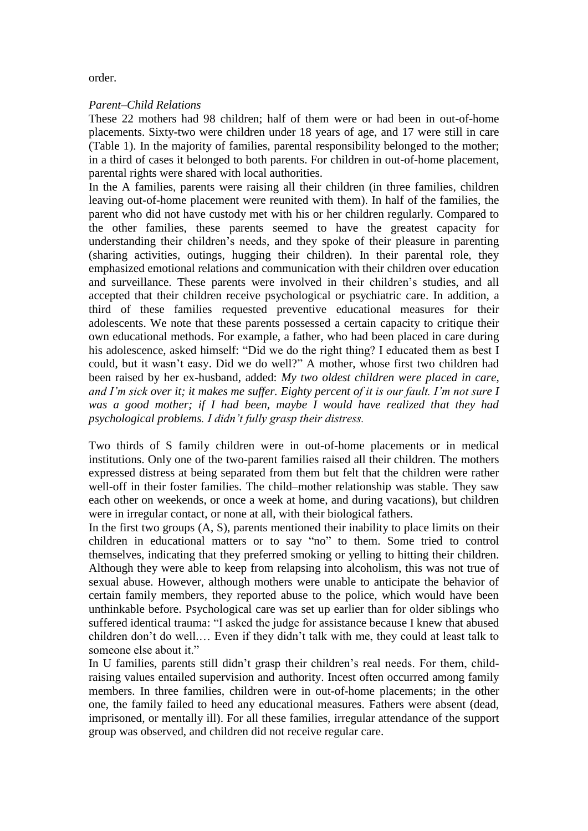order.

#### *Parent–Child Relations*

These 22 mothers had 98 children; half of them were or had been in out-of-home placements. Sixty-two were children under 18 years of age, and 17 were still in care (Table 1). In the majority of families, parental responsibility belonged to the mother; in a third of cases it belonged to both parents. For children in out-of-home placement, parental rights were shared with local authorities.

In the A families, parents were raising all their children (in three families, children leaving out-of-home placement were reunited with them). In half of the families, the parent who did not have custody met with his or her children regularly. Compared to the other families, these parents seemed to have the greatest capacity for understanding their children's needs, and they spoke of their pleasure in parenting (sharing activities, outings, hugging their children). In their parental role, they emphasized emotional relations and communication with their children over education and surveillance. These parents were involved in their children's studies, and all accepted that their children receive psychological or psychiatric care. In addition, a third of these families requested preventive educational measures for their adolescents. We note that these parents possessed a certain capacity to critique their own educational methods. For example, a father, who had been placed in care during his adolescence, asked himself: "Did we do the right thing? I educated them as best I could, but it wasn't easy. Did we do well?" A mother, whose first two children had been raised by her ex-husband, added: *My two oldest children were placed in care, and I'm sick over it; it makes me suffer. Eighty percent of it is our fault. I'm not sure I was a good mother; if I had been, maybe I would have realized that they had psychological problems. I didn't fully grasp their distress.*

Two thirds of S family children were in out-of-home placements or in medical institutions. Only one of the two-parent families raised all their children. The mothers expressed distress at being separated from them but felt that the children were rather well-off in their foster families. The child–mother relationship was stable. They saw each other on weekends, or once a week at home, and during vacations), but children were in irregular contact, or none at all, with their biological fathers.

In the first two groups (A, S), parents mentioned their inability to place limits on their children in educational matters or to say "no" to them. Some tried to control themselves, indicating that they preferred smoking or yelling to hitting their children. Although they were able to keep from relapsing into alcoholism, this was not true of sexual abuse. However, although mothers were unable to anticipate the behavior of certain family members, they reported abuse to the police, which would have been unthinkable before. Psychological care was set up earlier than for older siblings who suffered identical trauma: "I asked the judge for assistance because I knew that abused children don't do well.… Even if they didn't talk with me, they could at least talk to someone else about it."

In U families, parents still didn't grasp their children's real needs. For them, childraising values entailed supervision and authority. Incest often occurred among family members. In three families, children were in out-of-home placements; in the other one, the family failed to heed any educational measures*.* Fathers were absent (dead, imprisoned, or mentally ill). For all these families, irregular attendance of the support group was observed, and children did not receive regular care.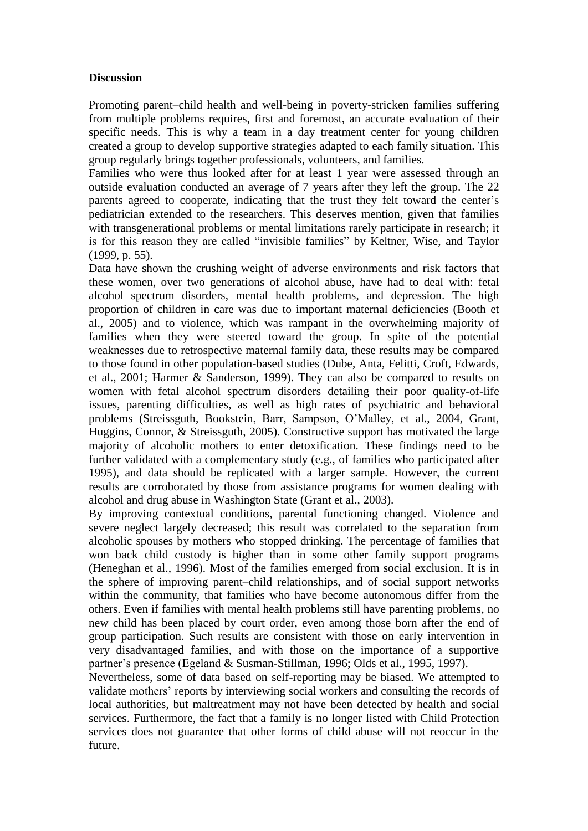#### **Discussion**

Promoting parent–child health and well-being in poverty-stricken families suffering from multiple problems requires, first and foremost, an accurate evaluation of their specific needs. This is why a team in a day treatment center for young children created a group to develop supportive strategies adapted to each family situation. This group regularly brings together professionals, volunteers, and families.

Families who were thus looked after for at least 1 year were assessed through an outside evaluation conducted an average of 7 years after they left the group. The 22 parents agreed to cooperate, indicating that the trust they felt toward the center's pediatrician extended to the researchers. This deserves mention, given that families with transgenerational problems or mental limitations rarely participate in research; it is for this reason they are called "invisible families" by Keltner, Wise, and Taylor (1999, p. 55).

Data have shown the crushing weight of adverse environments and risk factors that these women, over two generations of alcohol abuse, have had to deal with: fetal alcohol spectrum disorders, mental health problems, and depression. The high proportion of children in care was due to important maternal deficiencies (Booth et al., 2005) and to violence, which was rampant in the overwhelming majority of families when they were steered toward the group. In spite of the potential weaknesses due to retrospective maternal family data, these results may be compared to those found in other population-based studies (Dube, Anta, Felitti, Croft, Edwards, et al., 2001; Harmer & Sanderson, 1999). They can also be compared to results on women with fetal alcohol spectrum disorders detailing their poor quality-of-life issues, parenting difficulties, as well as high rates of psychiatric and behavioral problems (Streissguth, Bookstein, Barr, Sampson, O'Malley, et al., 2004, Grant, Huggins, Connor, & Streissguth, 2005). Constructive support has motivated the large majority of alcoholic mothers to enter detoxification. These findings need to be further validated with a complementary study (e.g., of families who participated after 1995), and data should be replicated with a larger sample. However, the current results are corroborated by those from assistance programs for women dealing with alcohol and drug abuse in Washington State (Grant et al., 2003).

By improving contextual conditions, parental functioning changed. Violence and severe neglect largely decreased; this result was correlated to the separation from alcoholic spouses by mothers who stopped drinking. The percentage of families that won back child custody is higher than in some other family support programs (Heneghan et al., 1996). Most of the families emerged from social exclusion. It is in the sphere of improving parent–child relationships, and of social support networks within the community, that families who have become autonomous differ from the others. Even if families with mental health problems still have parenting problems, no new child has been placed by court order, even among those born after the end of group participation. Such results are consistent with those on early intervention in very disadvantaged families, and with those on the importance of a supportive partner's presence (Egeland & Susman-Stillman, 1996; Olds et al., 1995, 1997).

Nevertheless, some of data based on self-reporting may be biased. We attempted to validate mothers' reports by interviewing social workers and consulting the records of local authorities, but maltreatment may not have been detected by health and social services. Furthermore, the fact that a family is no longer listed with Child Protection services does not guarantee that other forms of child abuse will not reoccur in the future.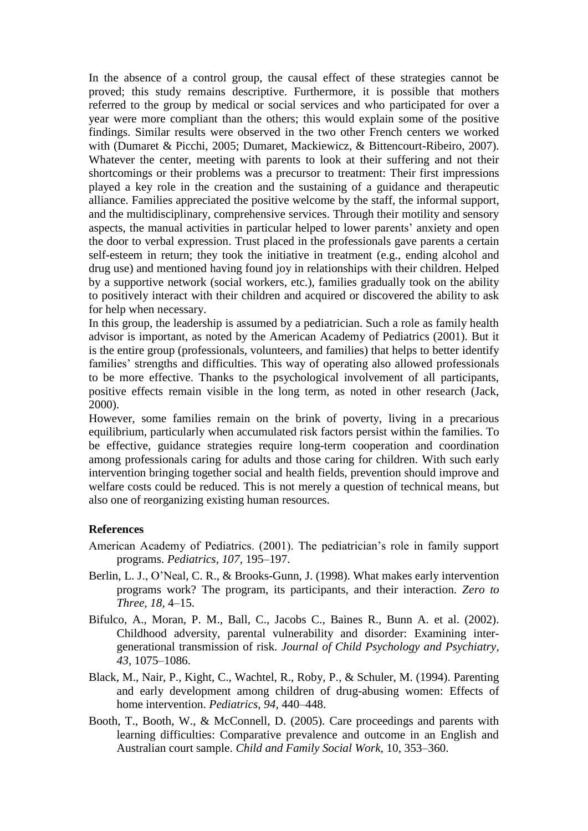In the absence of a control group, the causal effect of these strategies cannot be proved: this study remains descriptive. Furthermore, it is possible that mothers referred to the group by medical or social services and who participated for over a year were more compliant than the others; this would explain some of the positive findings. Similar results were observed in the two other French centers we worked with (Dumaret & Picchi, 2005; Dumaret, Mackiewicz, & Bittencourt-Ribeiro, 2007). Whatever the center, meeting with parents to look at their suffering and not their shortcomings or their problems was a precursor to treatment: Their first impressions played a key role in the creation and the sustaining of a guidance and therapeutic alliance. Families appreciated the positive welcome by the staff, the informal support, and the multidisciplinary, comprehensive services. Through their motility and sensory aspects, the manual activities in particular helped to lower parents' anxiety and open the door to verbal expression. Trust placed in the professionals gave parents a certain self-esteem in return; they took the initiative in treatment (e.g., ending alcohol and drug use) and mentioned having found joy in relationships with their children. Helped by a supportive network (social workers, etc.), families gradually took on the ability to positively interact with their children and acquired or discovered the ability to ask for help when necessary.

In this group, the leadership is assumed by a pediatrician. Such a role as family health advisor is important, as noted by the American Academy of Pediatrics (2001). But it is the entire group (professionals, volunteers, and families) that helps to better identify families' strengths and difficulties. This way of operating also allowed professionals to be more effective. Thanks to the psychological involvement of all participants, positive effects remain visible in the long term, as noted in other research (Jack, 2000).

However, some families remain on the brink of poverty, living in a precarious equilibrium, particularly when accumulated risk factors persist within the families. To be effective, guidance strategies require long-term cooperation and coordination among professionals caring for adults and those caring for children. With such early intervention bringing together social and health fields, prevention should improve and welfare costs could be reduced. This is not merely a question of technical means, but also one of reorganizing existing human resources.

#### **References**

- American Academy of Pediatrics. (2001). The pediatrician's role in family support programs. *Pediatrics, 107,* 195–197.
- Berlin, L. J., O'Neal, C. R., & Brooks-Gunn, J. (1998). What makes early intervention programs work? The program, its participants, and their interaction. *Zero to Three, 18*, 4–15.
- Bifulco, A., Moran, P. M., Ball, C., Jacobs C., Baines R., Bunn A. et al. (2002). Childhood adversity, parental vulnerability and disorder: Examining intergenerational transmission of risk. *Journal of Child Psychology and Psychiatry, 43,* 1075–1086.
- Black, M., Nair, P., Kight, C., Wachtel, R., Roby, P., & Schuler, M. (1994). Parenting and early development among children of drug-abusing women: Effects of home intervention. *Pediatrics, 94,* 440–448.
- Booth, T., Booth, W., & McConnell, D. (2005). Care proceedings and parents with learning difficulties: Comparative prevalence and outcome in an English and Australian court sample. *Child and Family Social Work,* 10, 353–360.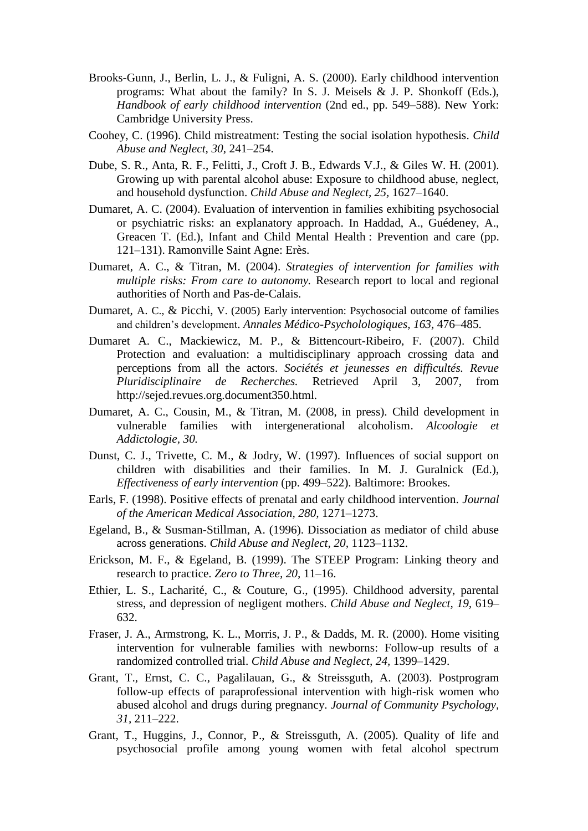- Brooks-Gunn, J., Berlin, L. J., & Fuligni, A. S. (2000). Early childhood intervention programs: What about the family? In S. J. Meisels & J. P. Shonkoff (Eds.), *Handbook of early childhood intervention* (2nd ed., pp. 549–588). New York: Cambridge University Press.
- Coohey, C. (1996). Child mistreatment: Testing the social isolation hypothesis. *Child Abuse and Neglect, 30,* 241–254.
- Dube, S. R., Anta, R. F., Felitti, J., Croft J. B., Edwards V.J., & Giles W. H. (2001). Growing up with parental alcohol abuse: Exposure to childhood abuse, neglect, and household dysfunction. *Child Abuse and Neglect, 25,* 1627–1640.
- Dumaret, A. C. (2004). Evaluation of intervention in families exhibiting psychosocial or psychiatric risks: an explanatory approach. In Haddad, A., Guédeney, A., Greacen T. (Ed.), Infant and Child Mental Health : Prevention and care (pp. 121–131). Ramonville Saint Agne: Erès.
- Dumaret, A. C., & Titran, M. (2004). *Strategies of intervention for families with multiple risks: From care to autonomy.* Research report to local and regional authorities of North and Pas-de-Calais.
- Dumaret, A. C., & Picchi, V. (2005) Early intervention: Psychosocial outcome of families and children's development. *Annales Médico-Psycholologiques, 163,* 476–485.
- Dumaret A. C., Mackiewicz, M. P., & Bittencourt-Ribeiro, F. (2007). Child Protection and evaluation: a multidisciplinary approach crossing data and perceptions from all the actors. *Sociétés et jeunesses en difficultés. Revue Pluridisciplinaire de Recherches.* Retrieved April 3, 2007, from http://sejed.revues.org.document350.html.
- Dumaret, A. C., Cousin, M., & Titran, M. (2008, in press). Child development in vulnerable families with intergenerational alcoholism. *Alcoologie et Addictologie, 30.*
- Dunst, C. J., Trivette, C. M., & Jodry, W. (1997). Influences of social support on children with disabilities and their families. In M. J. Guralnick (Ed.), *Effectiveness of early intervention* (pp. 499–522). Baltimore: Brookes.
- Earls, F. (1998). Positive effects of prenatal and early childhood intervention. *Journal of the American Medical Association, 280,* 1271–1273.
- Egeland, B., & Susman-Stillman, A. (1996). Dissociation as mediator of child abuse across generations. *Child Abuse and Neglect, 20,* 1123–1132.
- Erickson, M. F., & Egeland, B. (1999). The STEEP Program: Linking theory and research to practice. *Zero to Three, 20,* 11–16.
- Ethier, L. S., Lacharité, C., & Couture, G., (1995). Childhood adversity, parental stress, and depression of negligent mothers. *Child Abuse and Neglect, 19,* 619– 632.
- Fraser, J. A., Armstrong, K. L., Morris, J. P., & Dadds, M. R. (2000). Home visiting intervention for vulnerable families with newborns: Follow-up results of a randomized controlled trial. *Child Abuse and Neglect, 24,* 1399–1429.
- Grant, T., Ernst, C. C., Pagalilauan, G., & Streissguth, A. (2003). Postprogram follow-up effects of paraprofessional intervention with high-risk women who abused alcohol and drugs during pregnancy. *Journal of Community Psychology, 31,* 211–222.
- Grant, T., Huggins, J., Connor, P., & Streissguth, A. (2005). Quality of life and psychosocial profile among young women with fetal alcohol spectrum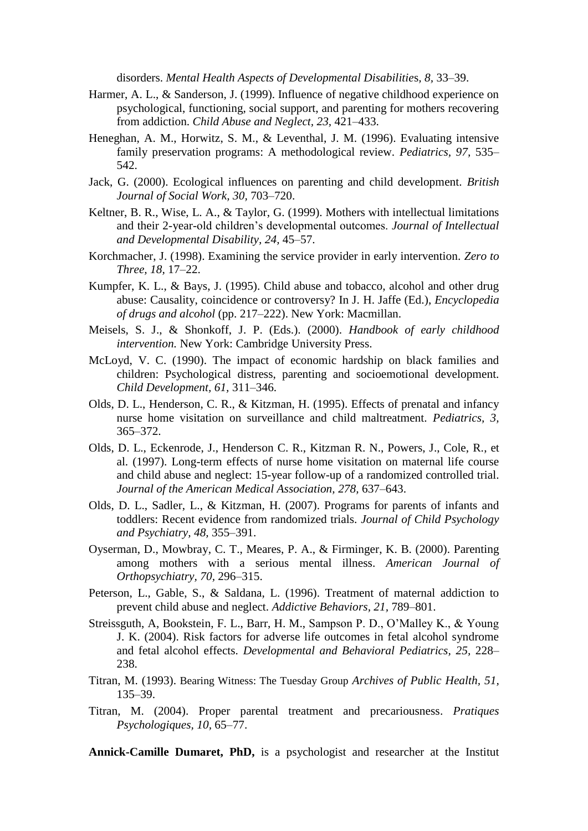disorders. *Mental Health Aspects of Developmental Disabilitie*s*, 8,* 33–39.

- Harmer, A. L., & Sanderson, J. (1999). Influence of negative childhood experience on psychological, functioning, social support, and parenting for mothers recovering from addiction. *Child Abuse and Neglect, 23,* 421–433.
- Heneghan, A. M., Horwitz, S. M., & Leventhal, J. M. (1996). Evaluating intensive family preservation programs: A methodological review. *Pediatrics, 97,* 535– 542.
- Jack, G. (2000). Ecological influences on parenting and child development. *British Journal of Social Work, 30,* 703–720.
- Keltner, B. R., Wise, L. A., & Taylor, G. (1999). Mothers with intellectual limitations and their 2-year-old children's developmental outcomes. *Journal of Intellectual and Developmental Disability, 24,* 45–57.
- Korchmacher, J. (1998). Examining the service provider in early intervention. *Zero to Three, 18,* 17–22.
- Kumpfer, K. L., & Bays, J. (1995). Child abuse and tobacco, alcohol and other drug abuse: Causality, coincidence or controversy? In J. H. Jaffe (Ed.), *Encyclopedia of drugs and alcohol* (pp. 217–222). New York: Macmillan.
- Meisels, S. J., & Shonkoff, J. P. (Eds.). (2000). *Handbook of early childhood intervention.* New York: Cambridge University Press.
- McLoyd, V. C. (1990). The impact of economic hardship on black families and children: Psychological distress, parenting and socioemotional development. *Child Development, 61,* 311–346.
- Olds, D. L., Henderson, C. R., & Kitzman, H. (1995). Effects of prenatal and infancy nurse home visitation on surveillance and child maltreatment. *Pediatrics, 3,* 365–372.
- Olds, D. L., Eckenrode, J., Henderson C. R., Kitzman R. N., Powers, J., Cole, R., et al. (1997). Long-term effects of nurse home visitation on maternal life course and child abuse and neglect: 15-year follow-up of a randomized controlled trial. *Journal of the American Medical Association, 278,* 637–643.
- Olds, D. L., Sadler, L., & Kitzman, H. (2007). Programs for parents of infants and toddlers: Recent evidence from randomized trials. *Journal of Child Psychology and Psychiatry, 48,* 355–391.
- Oyserman, D., Mowbray, C. T., Meares, P. A., & Firminger, K. B. (2000). Parenting among mothers with a serious mental illness. *American Journal of Orthopsychiatry, 70,* 296–315.
- Peterson, L., Gable, S., & Saldana, L. (1996). Treatment of maternal addiction to prevent child abuse and neglect. *Addictive Behaviors, 21,* 789–801.
- Streissguth, A, Bookstein, F. L., Barr, H. M., Sampson P. D., O'Malley K., & Young J. K. (2004). Risk factors for adverse life outcomes in fetal alcohol syndrome and fetal alcohol effects. *Developmental and Behavioral Pediatrics, 25,* 228– 238.
- Titran, M. (1993). Bearing Witness: The Tuesday Group *Archives of Public Health, 51,* 135–39.
- Titran, M. (2004). Proper parental treatment and precariousness. *Pratiques Psychologiques, 10,* 65–77.

**Annick-Camille Dumaret, PhD,** is a psychologist and researcher at the Institut